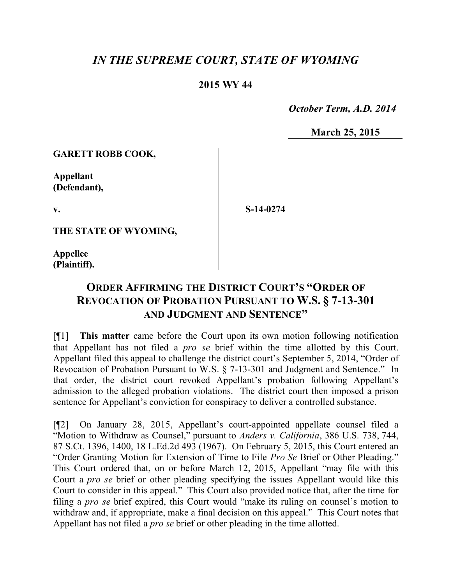## *IN THE SUPREME COURT, STATE OF WYOMING*

## **2015 WY 44**

 *October Term, A.D. 2014*

**March 25, 2015**

**GARETT ROBB COOK,**

**Appellant (Defendant),**

**v.**

**S-14-0274**

**THE STATE OF WYOMING,**

**Appellee (Plaintiff).**

## **ORDER AFFIRMING THE DISTRICT COURT'S "ORDER OF REVOCATION OF PROBATION PURSUANT TO W.S. § 7-13-301 AND JUDGMENT AND SENTENCE"**

[¶1] **This matter** came before the Court upon its own motion following notification that Appellant has not filed a *pro se* brief within the time allotted by this Court. Appellant filed this appeal to challenge the district court's September 5, 2014, "Order of Revocation of Probation Pursuant to W.S. § 7-13-301 and Judgment and Sentence." In that order, the district court revoked Appellant's probation following Appellant's admission to the alleged probation violations. The district court then imposed a prison sentence for Appellant's conviction for conspiracy to deliver a controlled substance.

[¶2] On January 28, 2015, Appellant's court-appointed appellate counsel filed a "Motion to Withdraw as Counsel," pursuant to *Anders v. California*, 386 U.S. 738, 744, 87 S.Ct. 1396, 1400, 18 L.Ed.2d 493 (1967). On February 5, 2015, this Court entered an "Order Granting Motion for Extension of Time to File *Pro Se* Brief or Other Pleading." This Court ordered that, on or before March 12, 2015, Appellant "may file with this Court a *pro se* brief or other pleading specifying the issues Appellant would like this Court to consider in this appeal." This Court also provided notice that, after the time for filing a *pro se* brief expired, this Court would "make its ruling on counsel's motion to withdraw and, if appropriate, make a final decision on this appeal." This Court notes that Appellant has not filed a *pro se* brief or other pleading in the time allotted.